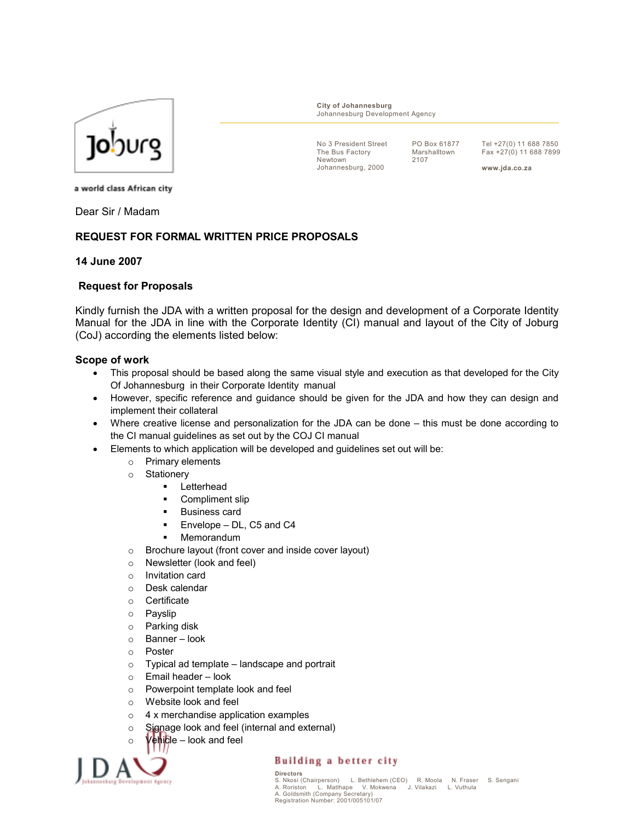

City of Johannesburg Johannesburg Development Agency

No 3 President Street The Bus Factory Newtown Johannesburg, 2000

PO Box 61877 Marshalltown 2107

Tel +27(0) 11 688 7850 Fax +27(0) 11 688 7899

www.jda.co.za

a world class African city

Dear Sir / Madam

# REQUEST FOR FORMAL WRITTEN PRICE PROPOSALS

#### 14 June 2007

### Request for Proposals

Kindly furnish the JDA with a written proposal for the design and development of a Corporate Identity Manual for the JDA in line with the Corporate Identity (CI) manual and layout of the City of Joburg (CoJ) according the elements listed below:

#### Scope of work

- This proposal should be based along the same visual style and execution as that developed for the City Of Johannesburg in their Corporate Identity manual
- However, specific reference and guidance should be given for the JDA and how they can design and implement their collateral
- Where creative license and personalization for the JDA can be done this must be done according to the CI manual guidelines as set out by the COJ CI manual
- Elements to which application will be developed and guidelines set out will be:
	- o Primary elements
	- o Stationery
		- Letterhead
		- **•** Compliment slip
		- **Business card**
		- **Envelope DL, C5 and C4**
		- Memorandum
	- o Brochure layout (front cover and inside cover layout)
	- o Newsletter (look and feel)
	- o Invitation card
	- o Desk calendar
	- o Certificate
	- o Payslip
	- o Parking disk
	- o Banner look
	- o Poster
	- $\circ$  Typical ad template landscape and portrait
	- o Email header look
	- o Powerpoint template look and feel
	- o Website look and feel
	- o 4 x merchandise application examples
	- o Signage look and feel (internal and external)
	- $\circ$  Vehicle look and feel



### Building a better city

Directors L. Bethlehem (CEO) R. Moola N. Fraser S. Sengani<br>be V. Mokwena J. Vilakazi L. Vuthula A. Roriston L. Matlhape V. Mokwena J. Vilakazi L. Vuthula<br>A. Goldsmith (Company Secretary)<br>Registration Number: 2001/005101/07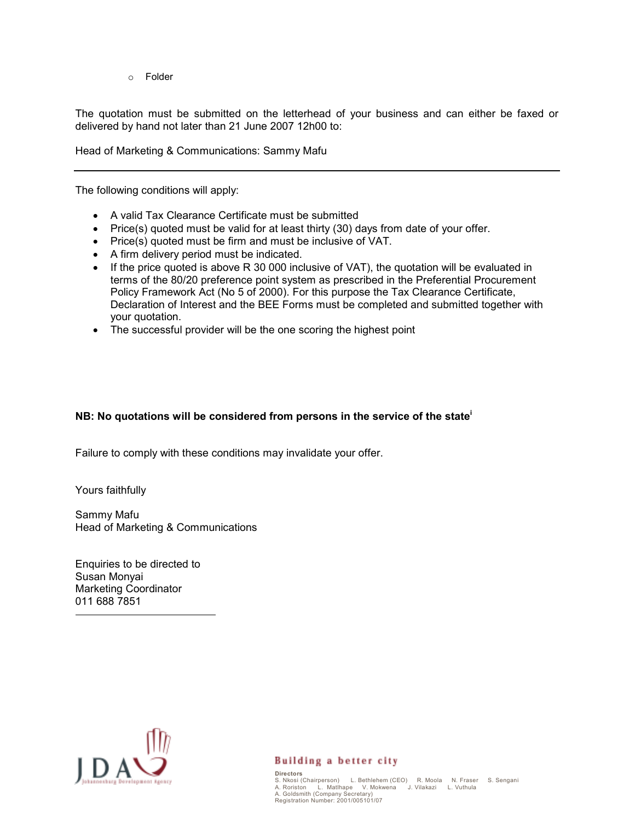o Folder

The quotation must be submitted on the letterhead of your business and can either be faxed or delivered by hand not later than 21 June 2007 12h00 to:

Head of Marketing & Communications: Sammy Mafu

The following conditions will apply:

- A valid Tax Clearance Certificate must be submitted
- Price(s) quoted must be valid for at least thirty (30) days from date of your offer.
- Price(s) quoted must be firm and must be inclusive of VAT.
- A firm delivery period must be indicated.
- If the price quoted is above R 30 000 inclusive of VAT), the quotation will be evaluated in terms of the 80/20 preference point system as prescribed in the Preferential Procurement Policy Framework Act (No 5 of 2000). For this purpose the Tax Clearance Certificate, Declaration of Interest and the BEE Forms must be completed and submitted together with your quotation.
- The successful provider will be the one scoring the highest point

# NB: No quotations will be considered from persons in the service of the state<sup>i</sup>

Failure to comply with these conditions may invalidate your offer.

Yours faithfully

-

Sammy Mafu Head of Marketing & Communications

Enquiries to be directed to Susan Monyai Marketing Coordinator 011 688 7851



# Building a better city

Directors S. Nkosi (Chairperson) L. Bethlehem (CEO) R. Moola N. Fraser S. Sengani A. Roriston L. Matlhape V. Mokwena J. Vilakazi L. Vuthula A. Goldsmith (Company Secretary) Registration Number: 2001/005101/07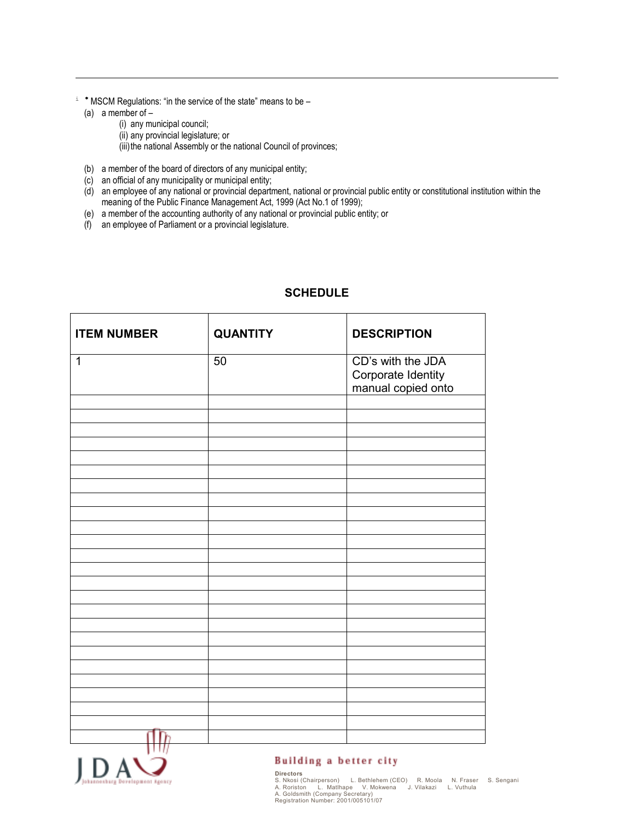- <sup>i</sup> <sup>∗</sup> MSCM Regulations: "in the service of the state" means to be
	- (a) a member of  $-$

-

- (i) any municipal council; (ii) any provincial legislature; or (iii) the national Assembly or the national Council of provinces;
- (b) a member of the board of directors of any municipal entity;
- (c) an official of any municipality or municipal entity;
- (d) an employee of any national or provincial department, national or provincial public entity or constitutional institution within the meaning of the Public Finance Management Act, 1999 (Act No.1 of 1999);
- (e) a member of the accounting authority of any national or provincial public entity; or
- $(f)$  an employee of Parliament or a provincial legislature.

| <b>ITEM NUMBER</b> | <b>QUANTITY</b> | <b>DESCRIPTION</b>                                            |
|--------------------|-----------------|---------------------------------------------------------------|
| $\mathbf{1}$       | 50              | CD's with the JDA<br>Corporate Identity<br>manual copied onto |
|                    |                 |                                                               |
|                    |                 |                                                               |
|                    |                 |                                                               |
|                    |                 |                                                               |
|                    |                 |                                                               |
|                    |                 |                                                               |
|                    |                 |                                                               |
|                    |                 |                                                               |
|                    |                 |                                                               |
|                    |                 |                                                               |
| m                  |                 |                                                               |

# **SCHEDULE**



### Building a better city

Directors S. Nkosi (Chairperson) L. Bethlehem (CEO) R. Moola N. Fraser S. Sengani A. Roriston L. Matlhape V. Mokwena J. Vilakazi L. Vuthula A. Goldsmith (Company Secretary) Registration Number: 2001/005101/07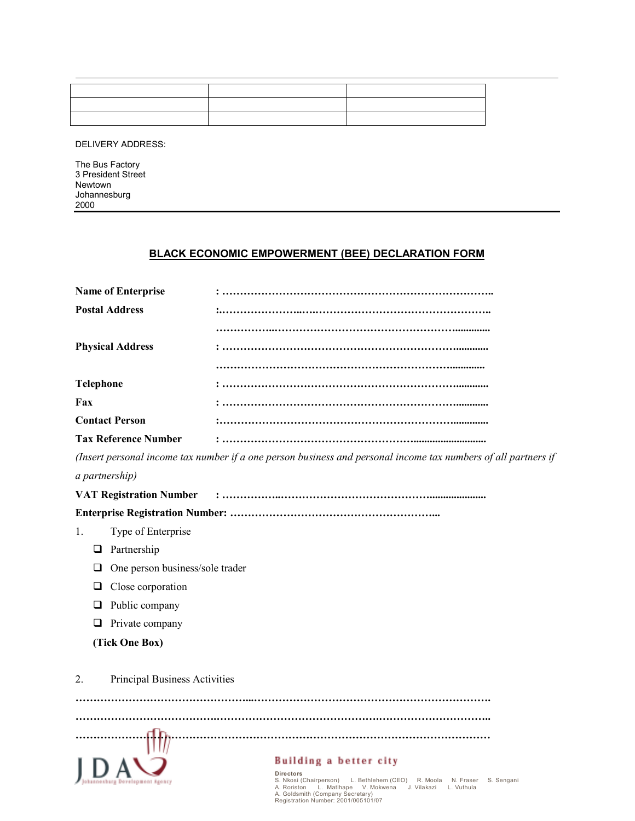DELIVERY ADDRESS:

The Bus Factory 3 President Street Newtown Johannesburg 2000

# BLACK ECONOMIC EMPOWERMENT (BEE) DECLARATION FORM

| <b>Name of Enterprise</b>      |                                                                                                                                                                                                                                                                     |  |
|--------------------------------|---------------------------------------------------------------------------------------------------------------------------------------------------------------------------------------------------------------------------------------------------------------------|--|
| <b>Postal Address</b>          |                                                                                                                                                                                                                                                                     |  |
|                                |                                                                                                                                                                                                                                                                     |  |
| <b>Physical Address</b>        |                                                                                                                                                                                                                                                                     |  |
|                                |                                                                                                                                                                                                                                                                     |  |
| Telephone                      |                                                                                                                                                                                                                                                                     |  |
| Fax                            |                                                                                                                                                                                                                                                                     |  |
| <b>Contact Person</b>          |                                                                                                                                                                                                                                                                     |  |
| <b>Tax Reference Number</b>    |                                                                                                                                                                                                                                                                     |  |
|                                | (Insert personal income tax number if a one person business and personal income tax numbers of all partners if                                                                                                                                                      |  |
| a partnership)                 |                                                                                                                                                                                                                                                                     |  |
| <b>VAT Registration Number</b> |                                                                                                                                                                                                                                                                     |  |
|                                |                                                                                                                                                                                                                                                                     |  |
| Type of Enterprise<br>1.       |                                                                                                                                                                                                                                                                     |  |
| $\Box$ Partnership             |                                                                                                                                                                                                                                                                     |  |
| ⊔                              | One person business/sole trader                                                                                                                                                                                                                                     |  |
| Close corporation<br>⊔         |                                                                                                                                                                                                                                                                     |  |
| Public company<br>❏            |                                                                                                                                                                                                                                                                     |  |
| Private company<br>❏           |                                                                                                                                                                                                                                                                     |  |
| (Tick One Box)                 |                                                                                                                                                                                                                                                                     |  |
|                                |                                                                                                                                                                                                                                                                     |  |
| 2.                             | Principal Business Activities                                                                                                                                                                                                                                       |  |
|                                | .                                                                                                                                                                                                                                                                   |  |
|                                |                                                                                                                                                                                                                                                                     |  |
|                                |                                                                                                                                                                                                                                                                     |  |
|                                |                                                                                                                                                                                                                                                                     |  |
| g Dovelspment Agoncy           | Building a better city<br><b>Directors</b><br>S. Nkosi (Chairperson) L. Bethlehem (CEO) R. Moola N. Fraser<br>S. Sengani<br>A. Roriston L. Matlhape V. Mokwena<br>J. Vilakazi L. Vuthula<br>A. Goldsmith (Company Secretary)<br>Registration Number: 2001/005101/07 |  |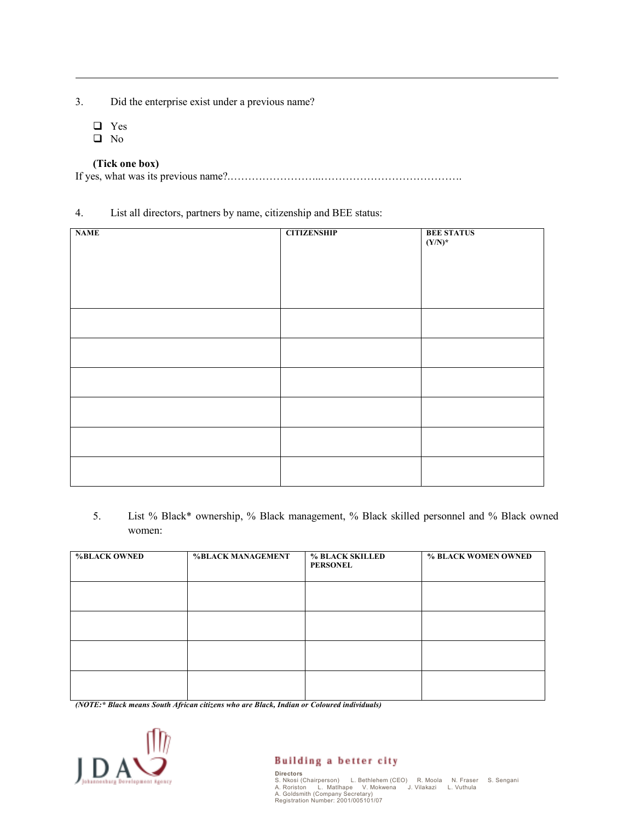- 3. Did the enterprise exist under a previous name?
	- Yes

-

 $\Box$  No

## (Tick one box)

If yes, what was its previous name?.……………………..………………………………….

## 4. List all directors, partners by name, citizenship and BEE status:

| <b>NAME</b> | <b>CITIZENSHIP</b> | <b>BEE STATUS</b><br>$(Y/N)^*$ |
|-------------|--------------------|--------------------------------|
|             |                    |                                |
|             |                    |                                |
|             |                    |                                |
|             |                    |                                |
|             |                    |                                |
|             |                    |                                |

5. List % Black\* ownership, % Black management, % Black skilled personnel and % Black owned women:

| <b>%BLACK OWNED</b> | <b>%BLACK MANAGEMENT</b> | <b>% BLACK SKILLED</b><br><b>PERSONEL</b> | % BLACK WOMEN OWNED |
|---------------------|--------------------------|-------------------------------------------|---------------------|
|                     |                          |                                           |                     |
|                     |                          |                                           |                     |
|                     |                          |                                           |                     |
|                     |                          |                                           |                     |

(NOTE:\* Black means South African citizens who are Black, Indian or Coloured individuals)



# **Building a better city**

Directors S. Nkosi (Chairperson) L. Bethlehem (CEO) R. Moola N. Fraser S. Sengani A. Roriston L. Matlhape V. Mokwena J. Vilakazi L. Vuthula A. Goldsmith (Company Secretary) Registration Number: 2001/005101/07